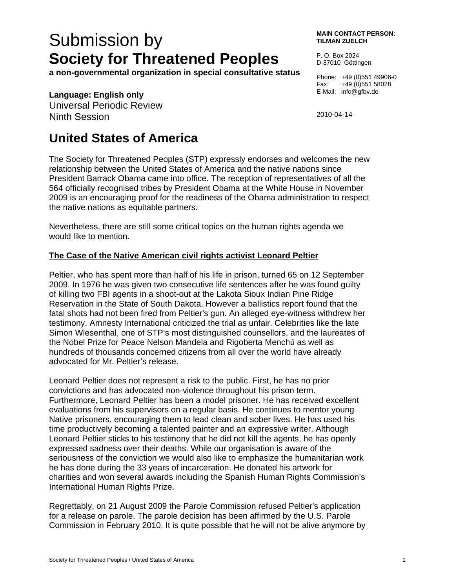# Submission by **Society for Threatened Peoples**

**a non-governmental organization in special consultative status** 

### **Language: English only**

Universal Periodic Review Ninth Session

## **United States of America**

The Society for Threatened Peoples (STP) expressly endorses and welcomes the new relationship between the United States of America and the native nations since President Barrack Obama came into office. The reception of representatives of all the 564 officially recognised tribes by President Obama at the White House in November 2009 is an encouraging proof for the readiness of the Obama administration to respect the native nations as equitable partners.

Nevertheless, there are still some critical topics on the human rights agenda we would like to mention.

#### **The Case of the Native American civil rights activist Leonard Peltier**

Peltier, who has spent more than half of his life in prison, turned 65 on 12 September 2009. In 1976 he was given two consecutive life sentences after he was found guilty of killing two FBI agents in a shoot-out at the Lakota Sioux Indian Pine Ridge Reservation in the State of South Dakota. However a ballistics report found that the fatal shots had not been fired from Peltier's gun. An alleged eye-witness withdrew her testimony. Amnesty International criticized the trial as unfair. Celebrities like the late Simon Wiesenthal, one of STP's most distinguished counsellors, and the laureates of the Nobel Prize for Peace Nelson Mandela and Rigoberta Menchú as well as hundreds of thousands concerned citizens from all over the world have already advocated for Mr. Peltier's release.

Leonard Peltier does not represent a risk to the public. First, he has no prior convictions and has advocated non-violence throughout his prison term. Furthermore, Leonard Peltier has been a model prisoner. He has received excellent evaluations from his supervisors on a regular basis. He continues to mentor young Native prisoners, encouraging them to lead clean and sober lives. He has used his time productively becoming a talented painter and an expressive writer. Although Leonard Peltier sticks to his testimony that he did not kill the agents, he has openly expressed sadness over their deaths. While our organisation is aware of the seriousness of the conviction we would also like to emphasize the humanitarian work he has done during the 33 years of incarceration. He donated his artwork for charities and won several awards including the Spanish Human Rights Commission's International Human Rights Prize.

Regrettably, on 21 August 2009 the Parole Commission refused Peltier's application for a release on parole. The parole decision has been affirmed by the U.S. Parole Commission in February 2010. It is quite possible that he will not be alive anymore by

**MAIN CONTACT PERSON: TILMAN ZUELCH** 

P. O. Box 2024 D-37010 Göttingen

Phone: +49 (0)551 49906-0 Fax: +49 (0)551 58028 E-Mail: info@gfbv.de

2010-04-14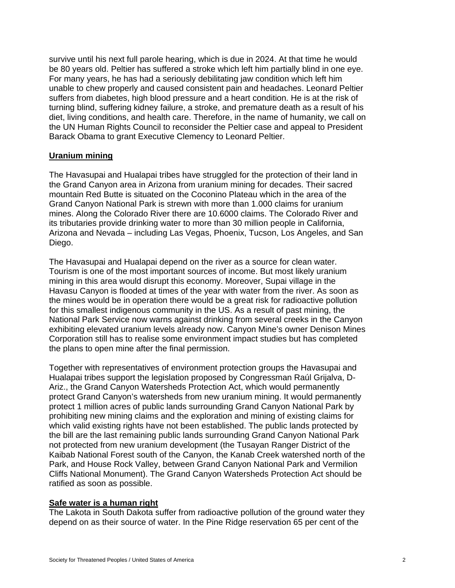survive until his next full parole hearing, which is due in 2024. At that time he would be 80 years old. Peltier has suffered a stroke which left him partially blind in one eye. For many years, he has had a seriously debilitating jaw condition which left him unable to chew properly and caused consistent pain and headaches. Leonard Peltier suffers from diabetes, high blood pressure and a heart condition. He is at the risk of turning blind, suffering kidney failure, a stroke, and premature death as a result of his diet, living conditions, and health care. Therefore, in the name of humanity, we call on the UN Human Rights Council to reconsider the Peltier case and appeal to President Barack Obama to grant Executive Clemency to Leonard Peltier.

#### **Uranium mining**

The Havasupai and Hualapai tribes have struggled for the protection of their land in the Grand Canyon area in Arizona from uranium mining for decades. Their sacred mountain Red Butte is situated on the Coconino Plateau which in the area of the Grand Canyon National Park is strewn with more than 1.000 claims for uranium mines. Along the Colorado River there are 10.6000 claims. The Colorado River and its tributaries provide drinking water to more than 30 million people in California, Arizona and Nevada – including Las Vegas, Phoenix, Tucson, Los Angeles, and San Diego.

The Havasupai and Hualapai depend on the river as a source for clean water. Tourism is one of the most important sources of income. But most likely uranium mining in this area would disrupt this economy. Moreover, Supai village in the Havasu Canyon is flooded at times of the year with water from the river. As soon as the mines would be in operation there would be a great risk for radioactive pollution for this smallest indigenous community in the US. As a result of past mining, the National Park Service now warns against drinking from several creeks in the Canyon exhibiting elevated uranium levels already now. Canyon Mine's owner Denison Mines Corporation still has to realise some environment impact studies but has completed the plans to open mine after the final permission.

Together with representatives of environment protection groups the Havasupai and Hualapai tribes support the legislation proposed by Congressman Raúl Grijalva, D-Ariz., the Grand Canyon Watersheds Protection Act, which would permanently protect Grand Canyon's watersheds from new uranium mining. It would permanently protect 1 million acres of public lands surrounding Grand Canyon National Park by prohibiting new mining claims and the exploration and mining of existing claims for which valid existing rights have not been established. The public lands protected by the bill are the last remaining public lands surrounding Grand Canyon National Park not protected from new uranium development (the Tusayan Ranger District of the Kaibab National Forest south of the Canyon, the Kanab Creek watershed north of the Park, and House Rock Valley, between Grand Canyon National Park and Vermilion Cliffs National Monument). The Grand Canyon Watersheds Protection Act should be ratified as soon as possible.

#### **Safe water is a human right**

The Lakota in South Dakota suffer from radioactive pollution of the ground water they depend on as their source of water. In the Pine Ridge reservation 65 per cent of the